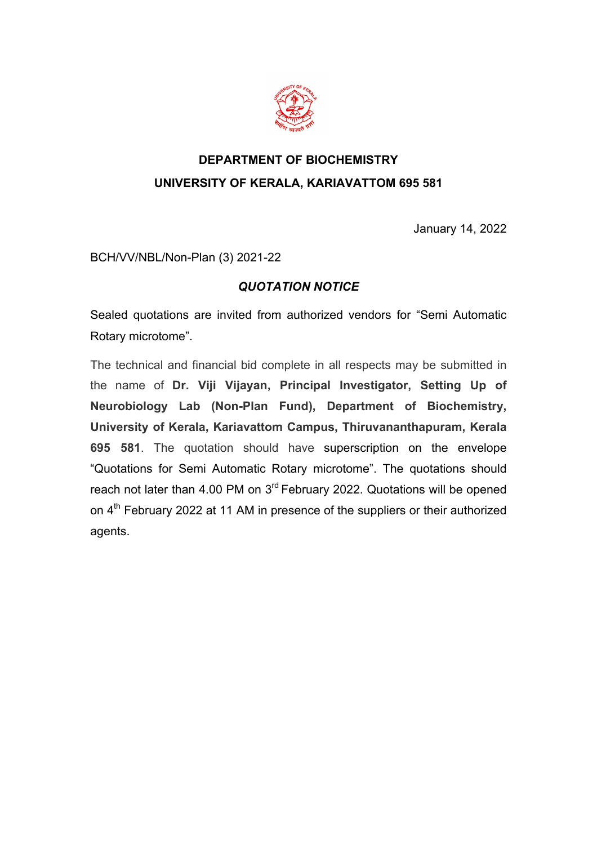

## **DEPARTMENT OF BIOCHEMISTRY UNIVERSITY OF KERALA, KARIAVATTOM 695 581**

January 14, 2022

BCH/VV/NBL/Non-Plan (3) 2021-22

## *QUOTATION NOTICE*

Sealed quotations are invited from authorized vendors for "Semi Automatic Rotary microtome".

The technical and financial bid complete in all respects may be submitted in the name of **Dr. Viji Vijayan, Principal Investigator, Setting Up of Neurobiology Lab (Non-Plan Fund), Department of Biochemistry, University of Kerala, Kariavattom Campus, Thiruvananthapuram, Kerala 695 581**. The quotation should have superscription on the envelope "Quotations for Semi Automatic Rotary microtome". The quotations should reach not later than 4.00 PM on 3<sup>rd</sup> February 2022. Quotations will be opened on 4<sup>th</sup> February 2022 at 11 AM in presence of the suppliers or their authorized agents.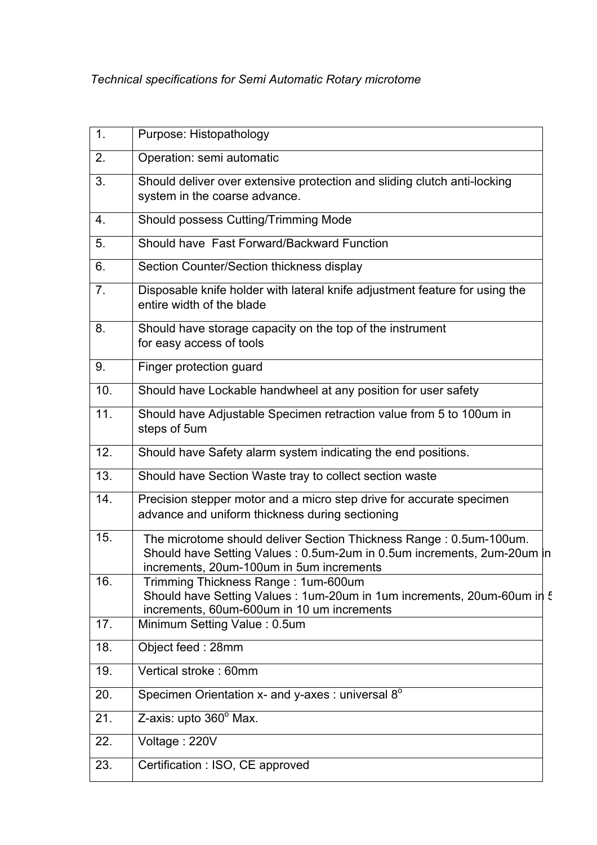| 1.  | Purpose: Histopathology                                                                                                                                                                  |  |
|-----|------------------------------------------------------------------------------------------------------------------------------------------------------------------------------------------|--|
| 2.  | Operation: semi automatic                                                                                                                                                                |  |
| 3.  | Should deliver over extensive protection and sliding clutch anti-locking<br>system in the coarse advance.                                                                                |  |
| 4.  | Should possess Cutting/Trimming Mode                                                                                                                                                     |  |
| 5.  | Should have Fast Forward/Backward Function                                                                                                                                               |  |
| 6.  | Section Counter/Section thickness display                                                                                                                                                |  |
| 7.  | Disposable knife holder with lateral knife adjustment feature for using the<br>entire width of the blade                                                                                 |  |
| 8.  | Should have storage capacity on the top of the instrument<br>for easy access of tools                                                                                                    |  |
| 9.  | Finger protection guard                                                                                                                                                                  |  |
| 10. | Should have Lockable handwheel at any position for user safety                                                                                                                           |  |
| 11. | Should have Adjustable Specimen retraction value from 5 to 100um in<br>steps of 5um                                                                                                      |  |
| 12. | Should have Safety alarm system indicating the end positions.                                                                                                                            |  |
| 13. | Should have Section Waste tray to collect section waste                                                                                                                                  |  |
| 14. | Precision stepper motor and a micro step drive for accurate specimen<br>advance and uniform thickness during sectioning                                                                  |  |
| 15. | The microtome should deliver Section Thickness Range: 0.5um-100um.<br>Should have Setting Values: 0.5um-2um in 0.5um increments, 2um-20um in<br>increments, 20um-100um in 5um increments |  |
| 16. | Trimming Thickness Range: 1um-600um<br>Should have Setting Values : 1um-20um in 1um increments, 20um-60um in 5<br>increments, 60um-600um in 10 um increments                             |  |
| 17. | Minimum Setting Value: 0.5um                                                                                                                                                             |  |
| 18. | Object feed: 28mm                                                                                                                                                                        |  |
| 19. | Vertical stroke: 60mm                                                                                                                                                                    |  |
| 20. | Specimen Orientation x- and y-axes : universal 8°                                                                                                                                        |  |
| 21. | Z-axis: upto 360° Max.                                                                                                                                                                   |  |
| 22. | Voltage: 220V                                                                                                                                                                            |  |
| 23. | Certification : ISO, CE approved                                                                                                                                                         |  |